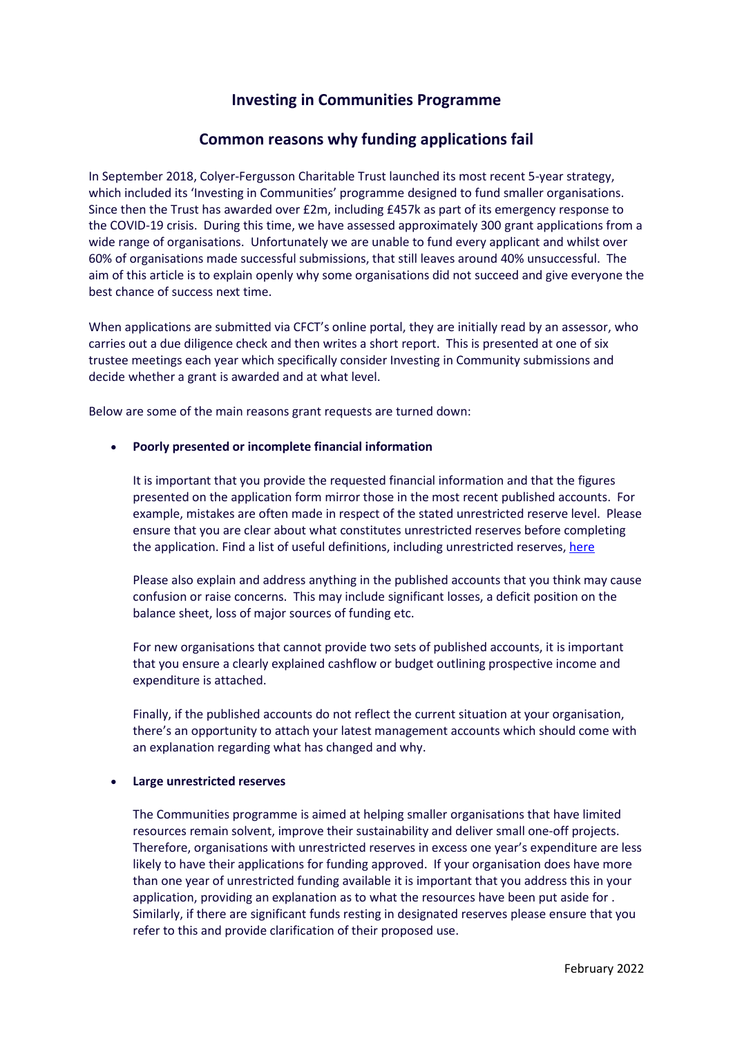# **Investing in Communities Programme**

# **Common reasons why funding applications fail**

In September 2018, Colyer-Fergusson Charitable Trust launched its most recent 5-year strategy, which included its 'Investing in Communities' programme designed to fund smaller organisations. Since then the Trust has awarded over £2m, including £457k as part of its emergency response to the COVID-19 crisis. During this time, we have assessed approximately 300 grant applications from a wide range of organisations. Unfortunately we are unable to fund every applicant and whilst over 60% of organisations made successful submissions, that still leaves around 40% unsuccessful. The aim of this article is to explain openly why some organisations did not succeed and give everyone the best chance of success next time.

When applications are submitted via CFCT's online portal, they are initially read by an assessor, who carries out a due diligence check and then writes a short report. This is presented at one of six trustee meetings each year which specifically consider Investing in Community submissions and decide whether a grant is awarded and at what level.

Below are some of the main reasons grant requests are turned down:

# • **Poorly presented or incomplete financial information**

It is important that you provide the requested financial information and that the figures presented on the application form mirror those in the most recent published accounts. For example, mistakes are often made in respect of the stated unrestricted reserve level. Please ensure that you are clear about what constitutes unrestricted reserves before completing the application. Find a list of useful definitions, including unrestricted reserves[, here](https://nfpaccountants.co.uk/nfp-charity-finance-training/glossary-charity-accounting-terms/) 

Please also explain and address anything in the published accounts that you think may cause confusion or raise concerns. This may include significant losses, a deficit position on the balance sheet, loss of major sources of funding etc.

For new organisations that cannot provide two sets of published accounts, it is important that you ensure a clearly explained cashflow or budget outlining prospective income and expenditure is attached.

Finally, if the published accounts do not reflect the current situation at your organisation, there's an opportunity to attach your latest management accounts which should come with an explanation regarding what has changed and why.

#### • **Large unrestricted reserves**

The Communities programme is aimed at helping smaller organisations that have limited resources remain solvent, improve their sustainability and deliver small one-off projects. Therefore, organisations with unrestricted reserves in excess one year's expenditure are less likely to have their applications for funding approved. If your organisation does have more than one year of unrestricted funding available it is important that you address this in your application, providing an explanation as to what the resources have been put aside for . Similarly, if there are significant funds resting in designated reserves please ensure that you refer to this and provide clarification of their proposed use.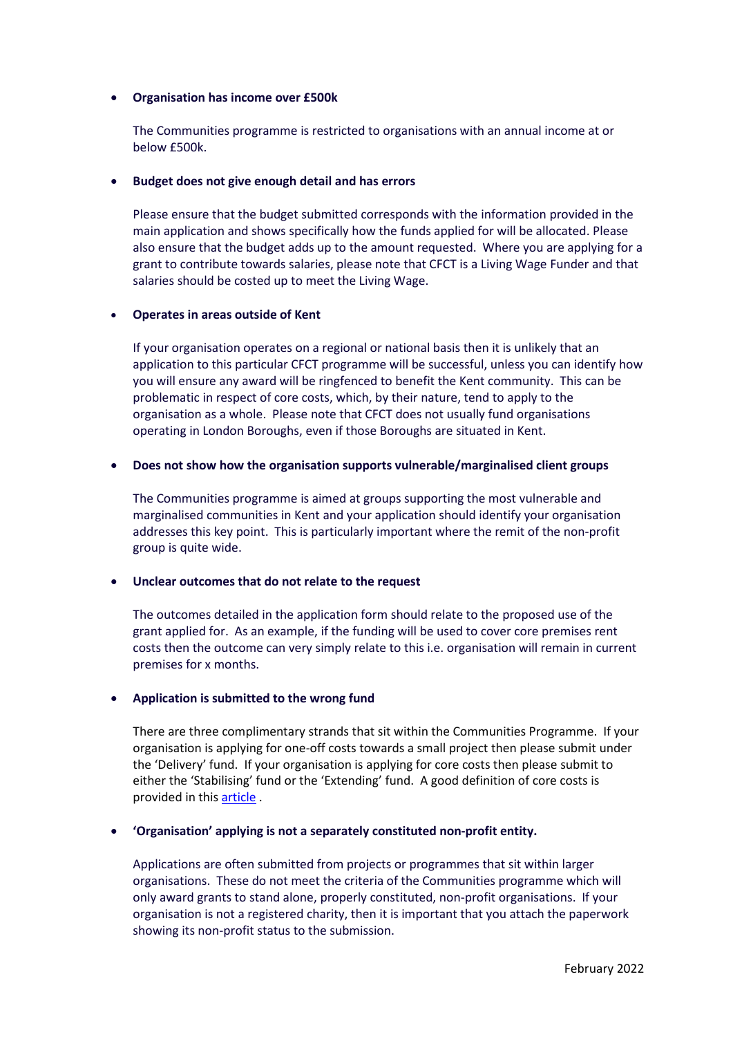## • **Organisation has income over £500k**

The Communities programme is restricted to organisations with an annual income at or below £500k.

### • **Budget does not give enough detail and has errors**

Please ensure that the budget submitted corresponds with the information provided in the main application and shows specifically how the funds applied for will be allocated. Please also ensure that the budget adds up to the amount requested. Where you are applying for a grant to contribute towards salaries, please note that CFCT is a Living Wage Funder and that salaries should be costed up to meet the Living Wage.

### • **Operates in areas outside of Kent**

If your organisation operates on a regional or national basis then it is unlikely that an application to this particular CFCT programme will be successful, unless you can identify how you will ensure any award will be ringfenced to benefit the Kent community. This can be problematic in respect of core costs, which, by their nature, tend to apply to the organisation as a whole. Please note that CFCT does not usually fund organisations operating in London Boroughs, even if those Boroughs are situated in Kent.

### • **Does not show how the organisation supports vulnerable/marginalised client groups**

The Communities programme is aimed at groups supporting the most vulnerable and marginalised communities in Kent and your application should identify your organisation addresses this key point. This is particularly important where the remit of the non-profit group is quite wide.

# • **Unclear outcomes that do not relate to the request**

The outcomes detailed in the application form should relate to the proposed use of the grant applied for. As an example, if the funding will be used to cover core premises rent costs then the outcome can very simply relate to this i.e. organisation will remain in current premises for x months.

# • **Application is submitted to the wrong fund**

There are three complimentary strands that sit within the Communities Programme. If your organisation is applying for one-off costs towards a small project then please submit under the 'Delivery' fund. If your organisation is applying for core costs then please submit to either the 'Stabilising' fund or the 'Extending' fund. A good definition of core costs is provided in this [article](https://fundraising.co.uk/2018/06/01/cover-core-costs/) .

# • **'Organisation' applying is not a separately constituted non-profit entity.**

Applications are often submitted from projects or programmes that sit within larger organisations. These do not meet the criteria of the Communities programme which will only award grants to stand alone, properly constituted, non-profit organisations. If your organisation is not a registered charity, then it is important that you attach the paperwork showing its non-profit status to the submission.